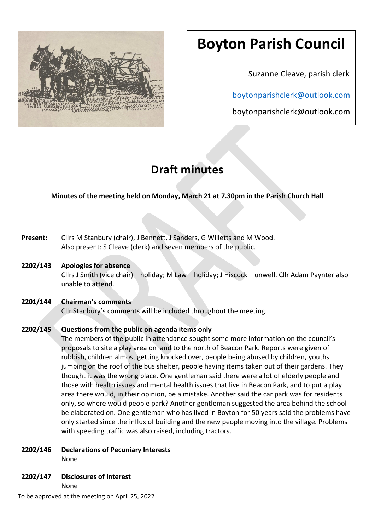

# **Boyton Parish Council**

Suzanne Cleave, parish clerk

[boytonparishclerk@outlook.com](mailto:boytonparishclerk@outlook.com)

boytonparishclerk@outlook.com

## **Draft minutes**

**Minutes of the meeting held on Monday, March 21 at 7.30pm in the Parish Church Hall**

- **Present:** Cllrs M Stanbury (chair), J Bennett, J Sanders, G Willetts and M Wood. Also present: S Cleave (clerk) and seven members of the public.
- **2202/143 Apologies for absence**

Cllrs J Smith (vice chair) – holiday; M Law – holiday; J Hiscock – unwell. Cllr Adam Paynter also unable to attend.

## **2201/144 Chairman's comments**

Cllr Stanbury's comments will be included throughout the meeting.

## **2202/145 Questions from the public on agenda items only**

The members of the public in attendance sought some more information on the council's proposals to site a play area on land to the north of Beacon Park. Reports were given of rubbish, children almost getting knocked over, people being abused by children, youths jumping on the roof of the bus shelter, people having items taken out of their gardens. They thought it was the wrong place. One gentleman said there were a lot of elderly people and those with health issues and mental health issues that live in Beacon Park, and to put a play area there would, in their opinion, be a mistake. Another said the car park was for residents only, so where would people park? Another gentleman suggested the area behind the school be elaborated on. One gentleman who has lived in Boyton for 50 years said the problems have only started since the influx of building and the new people moving into the village. Problems with speeding traffic was also raised, including tractors.

- **2202/146 Declarations of Pecuniary Interests** None
- **2202/147 Disclosures of Interest**

None

To be approved at the meeting on April 25, 2022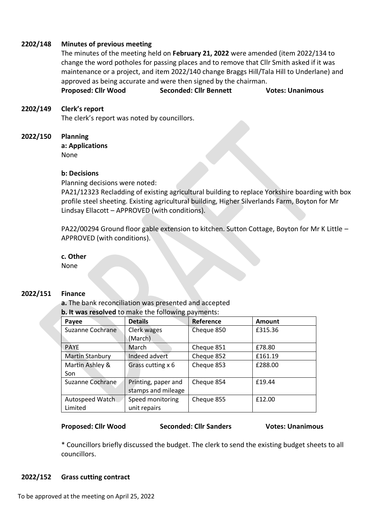### **2202/148 Minutes of previous meeting**

The minutes of the meeting held on **February 21, 2022** were amended (item 2022/134 to change the word potholes for passing places and to remove that Cllr Smith asked if it was maintenance or a project, and item 2022/140 change Braggs Hill/Tala Hill to Underlane) and approved as being accurate and were then signed by the chairman.

**Proposed: Cllr Wood Seconded: Cllr Bennett Votes: Unanimous** 

### **2202/149 Clerk's report**

The clerk's report was noted by councillors.

### **2022/150 Planning**

**a: Applications** None

### **b: Decisions**

Planning decisions were noted:

PA21/12323 Recladding of existing agricultural building to replace Yorkshire boarding with box profile steel sheeting. Existing agricultural building, Higher Silverlands Farm, Boyton for Mr Lindsay Ellacott – APPROVED (with conditions).

PA22/00294 Ground floor gable extension to kitchen. Sutton Cottage, Boyton for Mr K Little – APPROVED (with conditions).

### **c. Other**

None

#### **2022/151 Finance**

**a.** The bank reconciliation was presented and accepted **b. It was resolved** to make the following payments:

| Payee                  | <b>Details</b>      | Reference  | <b>Amount</b> |
|------------------------|---------------------|------------|---------------|
| Suzanne Cochrane       | Clerk wages         | Cheque 850 | £315.36       |
|                        | (March)             |            |               |
| <b>PAYE</b>            | March               | Cheque 851 | £78.80        |
| <b>Martin Stanbury</b> | Indeed advert       | Cheque 852 | £161.19       |
| Martin Ashley &        | Grass cutting x 6   | Cheque 853 | £288.00       |
| Son                    |                     |            |               |
| Suzanne Cochrane       | Printing, paper and | Cheque 854 | £19.44        |
|                        | stamps and mileage  |            |               |
| Autospeed Watch        | Speed monitoring    | Cheque 855 | £12.00        |
| Limited                | unit repairs        |            |               |

**Proposed: Cllr Wood Seconded: Cllr Sanders Votes: Unanimous** 

\* Councillors briefly discussed the budget. The clerk to send the existing budget sheets to all councillors.

#### **2022/152 Grass cutting contract**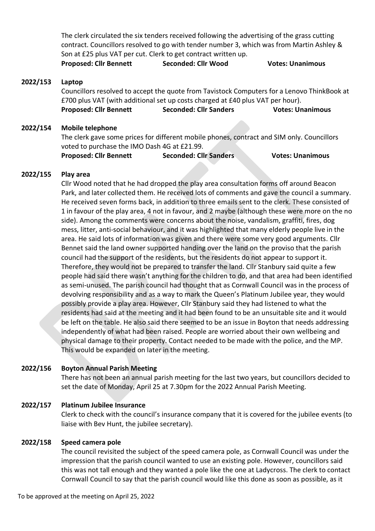The clerk circulated the six tenders received following the advertising of the grass cutting contract. Councillors resolved to go with tender number 3, which was from Martin Ashley & Son at £25 plus VAT per cut. Clerk to get contract written up.

**Proposed: Cllr Bennett Seconded: Cllr Wood Votes: Unanimous**

### **2022/153 Laptop**

Councillors resolved to accept the quote from Tavistock Computers for a Lenovo ThinkBook at £700 plus VAT (with additional set up costs charged at £40 plus VAT per hour). **Proposed: Cllr Bennett Seconded: Cllr Sanders Votes: Unanimous**

### **2022/154 Mobile telephone**

The clerk gave some prices for different mobile phones, contract and SIM only. Councillors voted to purchase the IMO Dash 4G at £21.99.

**Proposed: Cllr Bennett Seconded: Cllr Sanders Votes: Unanimous** 

#### **2022/155 Play area**

Cllr Wood noted that he had dropped the play area consultation forms off around Beacon Park, and later collected them. He received lots of comments and gave the council a summary. He received seven forms back, in addition to three emails sent to the clerk. These consisted of 1 in favour of the play area, 4 not in favour, and 2 maybe (although these were more on the no side). Among the comments were concerns about the noise, vandalism, graffiti, fires, dog mess, litter, anti-social behaviour, and it was highlighted that many elderly people live in the area. He said lots of information was given and there were some very good arguments. Cllr Bennet said the land owner supported handing over the land on the proviso that the parish council had the support of the residents, but the residents do not appear to support it. Therefore, they would not be prepared to transfer the land. Cllr Stanbury said quite a few people had said there wasn't anything for the children to do, and that area had been identified as semi-unused. The parish council had thought that as Cornwall Council was in the process of devolving responsibility and as a way to mark the Queen's Platinum Jubilee year, they would possibly provide a play area. However, Cllr Stanbury said they had listened to what the residents had said at the meeting and it had been found to be an unsuitable site and it would be left on the table. He also said there seemed to be an issue in Boyton that needs addressing independently of what had been raised. People are worried about their own wellbeing and physical damage to their property. Contact needed to be made with the police, and the MP. This would be expanded on later in the meeting.

#### **2022/156 Boyton Annual Parish Meeting**

There has not been an annual parish meeting for the last two years, but councillors decided to set the date of Monday, April 25 at 7.30pm for the 2022 Annual Parish Meeting.

#### **2022/157 Platinum Jubilee Insurance**

Clerk to check with the council's insurance company that it is covered for the jubilee events (to liaise with Bev Hunt, the jubilee secretary).

#### **2022/158 Speed camera pole**

The council revisited the subject of the speed camera pole, as Cornwall Council was under the impression that the parish council wanted to use an existing pole. However, councillors said this was not tall enough and they wanted a pole like the one at Ladycross. The clerk to contact Cornwall Council to say that the parish council would like this done as soon as possible, as it